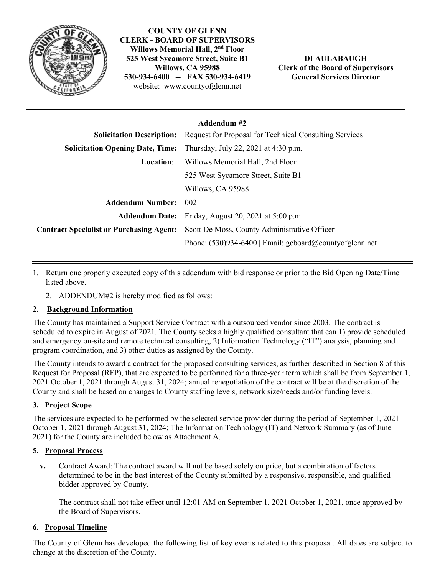

**COUNTY OF GLENN CLERK - BOARD OF SUPERVISORS Willows Memorial Hall, 2nd Floor 525 West Sycamore Street, Suite B1 Willows, CA 95988 530-934-6400 -- FAX 530-934-6419** website: www.countyofglenn.net

**DI AULABAUGH Clerk of the Board of Supervisors General Services Director**

## **Addendum #2**

| <b>Solicitation Description:</b>                | <b>Request for Proposal for Technical Consulting Services</b> |
|-------------------------------------------------|---------------------------------------------------------------|
| <b>Solicitation Opening Date, Time:</b>         | Thursday, July 22, 2021 at 4:30 p.m.                          |
| <b>Location:</b>                                | Willows Memorial Hall, 2nd Floor                              |
|                                                 | 525 West Sycamore Street, Suite B1                            |
|                                                 | Willows, CA 95988                                             |
| <b>Addendum Number:</b>                         | 002                                                           |
|                                                 | <b>Addendum Date:</b> Friday, August 20, 2021 at 5:00 p.m.    |
| <b>Contract Specialist or Purchasing Agent:</b> | Scott De Moss, County Administrative Officer                  |
|                                                 | Phone: $(530)934-6400$   Email: gcboard@countyofglenn.net     |

- 1. Return one properly executed copy of this addendum with bid response or prior to the Bid Opening Date/Time listed above.
	- 2. ADDENDUM#2 is hereby modified as follows:

# **2. Background Information**

The County has maintained a Support Service Contract with a outsourced vendor since 2003. The contract is scheduled to expire in August of 2021. The County seeks a highly qualified consultant that can 1) provide scheduled and emergency on-site and remote technical consulting, 2) Information Technology ("IT") analysis, planning and program coordination, and 3) other duties as assigned by the County.

The County intends to award a contract for the proposed consulting services, as further described in Section 8 of this Request for Proposal (RFP), that are expected to be performed for a three-year term which shall be from September 1, 2021 October 1, 2021 through August 31, 2024; annual renegotiation of the contract will be at the discretion of the County and shall be based on changes to County staffing levels, network size/needs and/or funding levels.

### **3. Project Scope**

The services are expected to be performed by the selected service provider during the period of September 1, 2021 October 1, 2021 through August 31, 2024; The Information Technology (IT) and Network Summary (as of June 2021) for the County are included below as Attachment A.

### **5. Proposal Process**

**v.** Contract Award: The contract award will not be based solely on price, but a combination of factors determined to be in the best interest of the County submitted by a responsive, responsible, and qualified bidder approved by County.

The contract shall not take effect until 12:01 AM on September 1, 2021 October 1, 2021, once approved by the Board of Supervisors.

### **6. Proposal Timeline**

The County of Glenn has developed the following list of key events related to this proposal. All dates are subject to change at the discretion of the County.